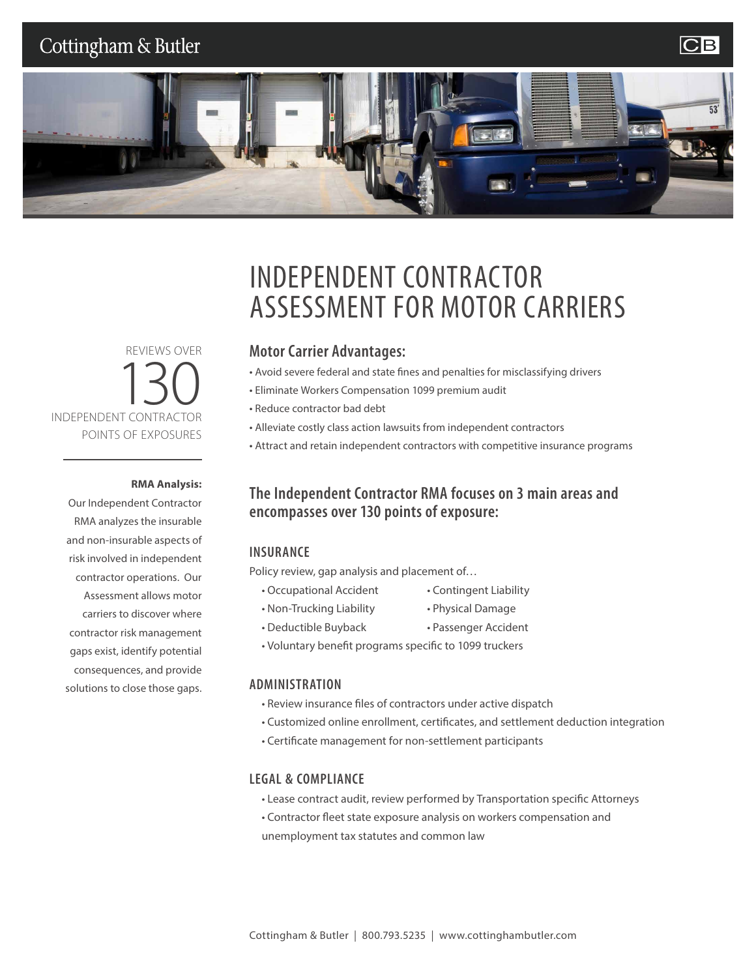## Cottingham & Butler

### **CB**



REVIEWS OVER INDEPENDENT CONTRACTOR POINTS OF EXPOSURES

#### **RMA Analysis:**

Our Independent Contractor RMA analyzes the insurable and non-insurable aspects of risk involved in independent contractor operations. Our Assessment allows motor carriers to discover where contractor risk management gaps exist, identify potential consequences, and provide solutions to close those gaps.

## INDEPENDENT CONTRACTOR ASSESSMENT FOR MOTOR CARRIERS

#### **Motor Carrier Advantages:**

- Avoid severe federal and state fines and penalties for misclassifying drivers
- Eliminate Workers Compensation 1099 premium audit
- Reduce contractor bad debt
- Alleviate costly class action lawsuits from independent contractors
- Attract and retain independent contractors with competitive insurance programs

### **The Independent Contractor RMA focuses on 3 main areas and encompasses over 130 points of exposure:**

#### **INSURANCE**

Policy review, gap analysis and placement of…

- Occupational Accident Contingent Liability
	-
- 
- 
- 
- Non-Trucking Liability Physical Damage
- Deductible Buyback Passenger Accident
- Voluntary benefit programs specific to 1099 truckers

#### **ADMINISTRATION**

- Review insurance files of contractors under active dispatch
- Customized online enrollment, certificates, and settlement deduction integration
- Certificate management for non-settlement participants

#### **LEGAL & COMPLIANCE**

- Lease contract audit, review performed by Transportation specific Attorneys
- Contractor fleet state exposure analysis on workers compensation and unemployment tax statutes and common law